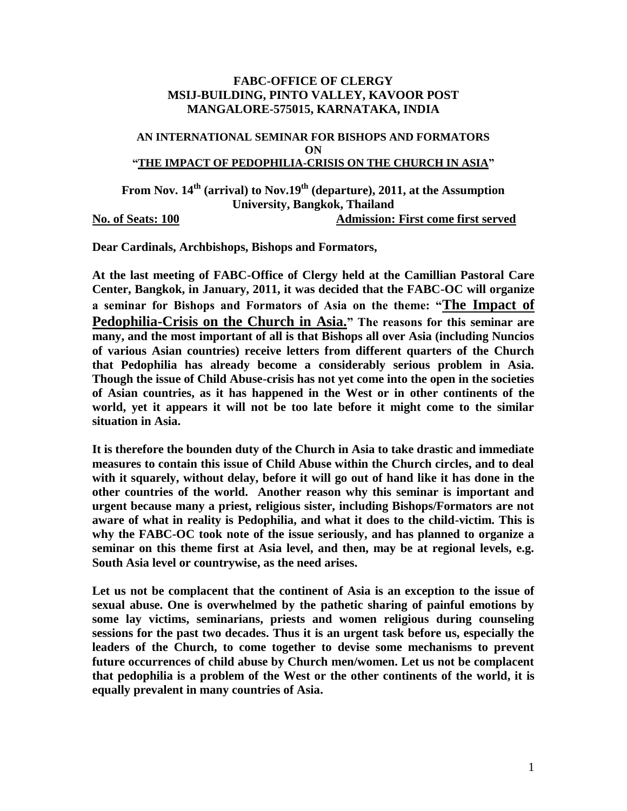## **FABC-OFFICE OF CLERGY MSIJ-BUILDING, PINTO VALLEY, KAVOOR POST MANGALORE-575015, KARNATAKA, INDIA**

### **AN INTERNATIONAL SEMINAR FOR BISHOPS AND FORMATORS ON "THE IMPACT OF PEDOPHILIA-CRISIS ON THE CHURCH IN ASIA"**

**From Nov. 14th (arrival) to Nov.19th (departure), 2011, at the Assumption University, Bangkok, Thailand No. of Seats: 100 Admission: First come first served** 

**Dear Cardinals, Archbishops, Bishops and Formators,**

**At the last meeting of FABC-Office of Clergy held at the Camillian Pastoral Care Center, Bangkok, in January, 2011, it was decided that the FABC-OC will organize a seminar for Bishops and Formators of Asia on the theme: "The Impact of Pedophilia-Crisis on the Church in Asia." The reasons for this seminar are many, and the most important of all is that Bishops all over Asia (including Nuncios of various Asian countries) receive letters from different quarters of the Church that Pedophilia has already become a considerably serious problem in Asia. Though the issue of Child Abuse-crisis has not yet come into the open in the societies of Asian countries, as it has happened in the West or in other continents of the world, yet it appears it will not be too late before it might come to the similar situation in Asia.**

**It is therefore the bounden duty of the Church in Asia to take drastic and immediate measures to contain this issue of Child Abuse within the Church circles, and to deal with it squarely, without delay, before it will go out of hand like it has done in the other countries of the world. Another reason why this seminar is important and urgent because many a priest, religious sister, including Bishops/Formators are not aware of what in reality is Pedophilia, and what it does to the child-victim. This is why the FABC-OC took note of the issue seriously, and has planned to organize a seminar on this theme first at Asia level, and then, may be at regional levels, e.g. South Asia level or countrywise, as the need arises.**

**Let us not be complacent that the continent of Asia is an exception to the issue of sexual abuse. One is overwhelmed by the pathetic sharing of painful emotions by some lay victims, seminarians, priests and women religious during counseling sessions for the past two decades. Thus it is an urgent task before us, especially the leaders of the Church, to come together to devise some mechanisms to prevent future occurrences of child abuse by Church men/women. Let us not be complacent that pedophilia is a problem of the West or the other continents of the world, it is equally prevalent in many countries of Asia.**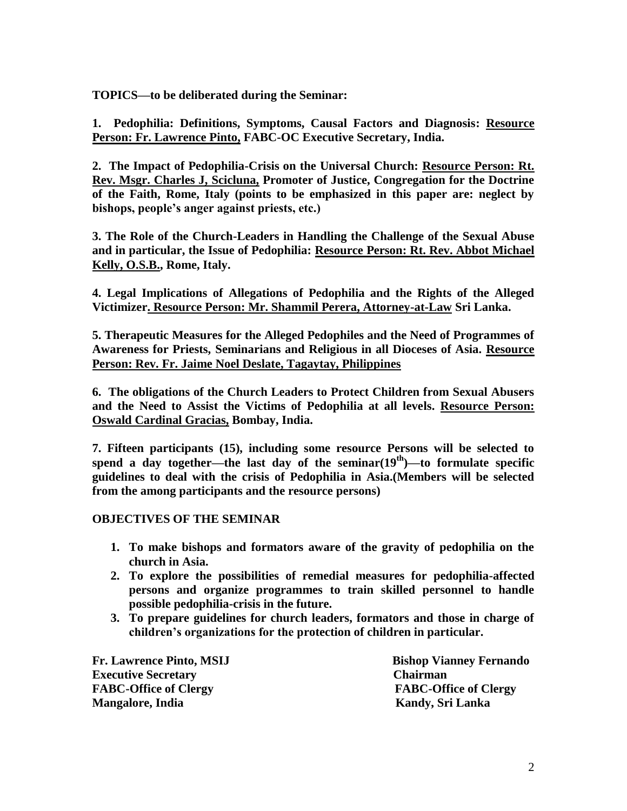**TOPICS—to be deliberated during the Seminar:**

**1. Pedophilia: Definitions, Symptoms, Causal Factors and Diagnosis: Resource Person: Fr. Lawrence Pinto, FABC-OC Executive Secretary, India.**

**2. The Impact of Pedophilia-Crisis on the Universal Church: Resource Person: Rt. Rev. Msgr. Charles J, Scicluna, Promoter of Justice, Congregation for the Doctrine of the Faith, Rome, Italy (points to be emphasized in this paper are: neglect by bishops, people's anger against priests, etc.)**

**3. The Role of the Church-Leaders in Handling the Challenge of the Sexual Abuse and in particular, the Issue of Pedophilia: Resource Person: Rt. Rev. Abbot Michael Kelly, O.S.B., Rome, Italy.**

**4. Legal Implications of Allegations of Pedophilia and the Rights of the Alleged Victimizer. Resource Person: Mr. Shammil Perera, Attorney-at-Law Sri Lanka.**

**5. Therapeutic Measures for the Alleged Pedophiles and the Need of Programmes of Awareness for Priests, Seminarians and Religious in all Dioceses of Asia. Resource Person: Rev. Fr. Jaime Noel Deslate, Tagaytay, Philippines** 

**6. The obligations of the Church Leaders to Protect Children from Sexual Abusers and the Need to Assist the Victims of Pedophilia at all levels. Resource Person: Oswald Cardinal Gracias, Bombay, India.**

**7. Fifteen participants (15), including some resource Persons will be selected to**  spend a day together—the last day of the seminar $(19<sup>th</sup>)$ —to formulate specific **guidelines to deal with the crisis of Pedophilia in Asia.(Members will be selected from the among participants and the resource persons)**

### **OBJECTIVES OF THE SEMINAR**

- **1. To make bishops and formators aware of the gravity of pedophilia on the church in Asia.**
- **2. To explore the possibilities of remedial measures for pedophilia-affected persons and organize programmes to train skilled personnel to handle possible pedophilia-crisis in the future.**
- **3. To prepare guidelines for church leaders, formators and those in charge of children's organizations for the protection of children in particular.**

**Executive Secretary Chairman FABC-Office of Clergy FABC-Office of Clergy Mangalore, India** Kandy, Sri Lanka

**Fr. Lawrence Pinto, MSIJ Bishop Vianney Fernando**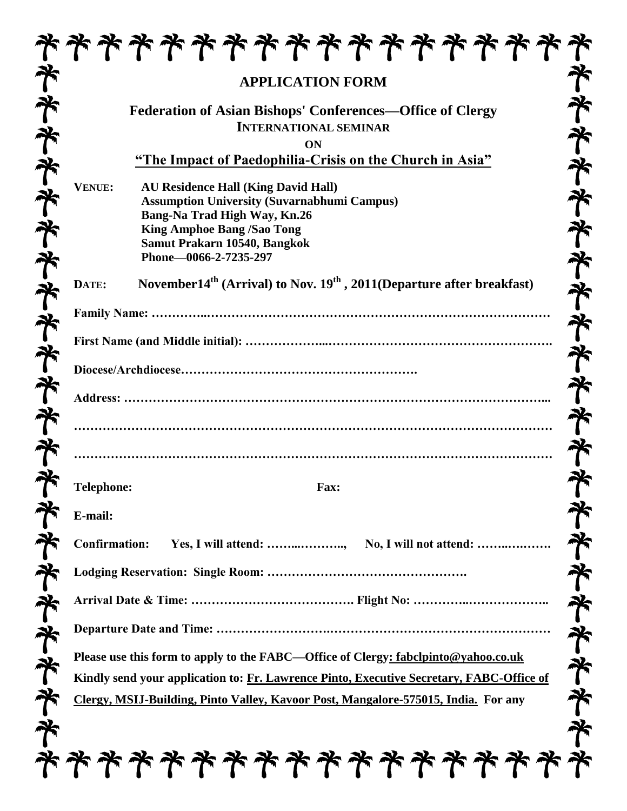|                      | <b>APPLICATION FORM</b>                                                                                                                                                                                                        |
|----------------------|--------------------------------------------------------------------------------------------------------------------------------------------------------------------------------------------------------------------------------|
|                      | <b>Federation of Asian Bishops' Conferences—Office of Clergy</b><br><b>INTERNATIONAL SEMINAR</b><br>ON                                                                                                                         |
|                      | "The Impact of Paedophilia-Crisis on the Church in Asia"                                                                                                                                                                       |
| VENUE:               | <b>AU Residence Hall (King David Hall)</b><br><b>Assumption University (Suvarnabhumi Campus)</b><br>Bang-Na Trad High Way, Kn.26<br><b>King Amphoe Bang /Sao Tong</b><br>Samut Prakarn 10540, Bangkok<br>Phone-0066-2-7235-297 |
| DATE:                | November14 <sup>th</sup> (Arrival) to Nov. $19th$ , 2011(Departure after breakfast)                                                                                                                                            |
|                      |                                                                                                                                                                                                                                |
|                      |                                                                                                                                                                                                                                |
|                      |                                                                                                                                                                                                                                |
|                      |                                                                                                                                                                                                                                |
|                      |                                                                                                                                                                                                                                |
|                      |                                                                                                                                                                                                                                |
|                      |                                                                                                                                                                                                                                |
| <b>Telephone:</b>    | Fax:                                                                                                                                                                                                                           |
| E-mail:              |                                                                                                                                                                                                                                |
| <b>Confirmation:</b> | Yes, I will attend: , No, I will not attend:                                                                                                                                                                                   |
|                      |                                                                                                                                                                                                                                |
|                      |                                                                                                                                                                                                                                |
|                      |                                                                                                                                                                                                                                |
|                      | Please use this form to apply to the FABC—Office of Clergy: fabclpinto@yahoo.co.uk                                                                                                                                             |
|                      | Kindly send your application to: Fr. Lawrence Pinto, Executive Secretary, FABC-Office of                                                                                                                                       |
|                      | Clergy, MSIJ-Building, Pinto Valley, Kavoor Post, Mangalore-575015, India. For any                                                                                                                                             |